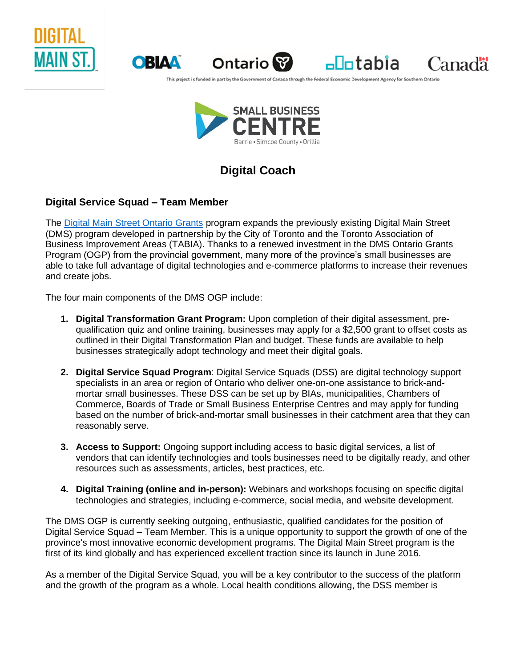





 $\n <sup>−</sup>$ 

Canadä

This project is funded in part by the Government of Canada through the Federal Economic Development Agency for Southern Ontar



# **Digital Coach**

## **Digital Service Squad – Team Member**

The [Digital Main Street Ontario Grants](https://digitalmainstreet.ca/) program expands the previously existing Digital Main Street (DMS) program developed in partnership by the City of Toronto and the Toronto Association of Business Improvement Areas (TABIA). Thanks to a renewed investment in the DMS Ontario Grants Program (OGP) from the provincial government, many more of the province's small businesses are able to take full advantage of digital technologies and e-commerce platforms to increase their revenues and create jobs.

The four main components of the DMS OGP include:

- **1. Digital Transformation Grant Program:** Upon completion of their digital assessment, prequalification quiz and online training, businesses may apply for a \$2,500 grant to offset costs as outlined in their Digital Transformation Plan and budget. These funds are available to help businesses strategically adopt technology and meet their digital goals.
- **2. Digital Service Squad Program**: Digital Service Squads (DSS) are digital technology support specialists in an area or region of Ontario who deliver one-on-one assistance to brick-andmortar small businesses. These DSS can be set up by BIAs, municipalities, Chambers of Commerce, Boards of Trade or Small Business Enterprise Centres and may apply for funding based on the number of brick-and-mortar small businesses in their catchment area that they can reasonably serve.
- **3. Access to Support:** Ongoing support including access to basic digital services, a list of vendors that can identify technologies and tools businesses need to be digitally ready, and other resources such as assessments, articles, best practices, etc.
- **4. Digital Training (online and in-person):** Webinars and workshops focusing on specific digital technologies and strategies, including e-commerce, social media, and website development.

The DMS OGP is currently seeking outgoing, enthusiastic, qualified candidates for the position of Digital Service Squad – Team Member. This is a unique opportunity to support the growth of one of the province's most innovative economic development programs. The Digital Main Street program is the first of its kind globally and has experienced excellent traction since its launch in June 2016.

As a member of the Digital Service Squad, you will be a key contributor to the success of the platform and the growth of the program as a whole. Local health conditions allowing, the DSS member is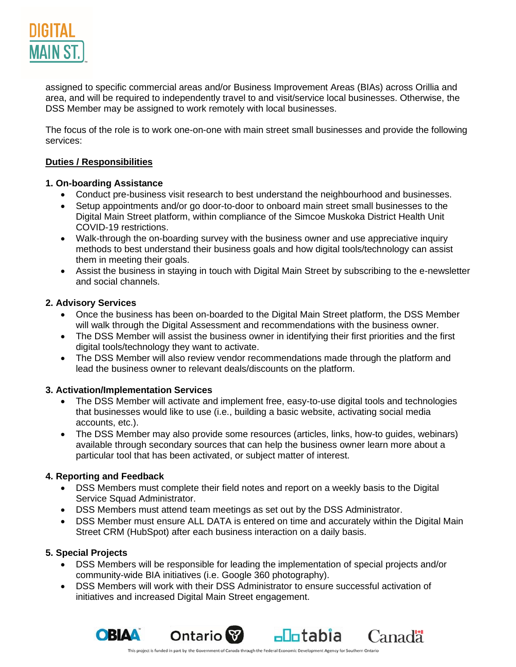

assigned to specific commercial areas and/or Business Improvement Areas (BIAs) across Orillia and area, and will be required to independently travel to and visit/service local businesses. Otherwise, the DSS Member may be assigned to work remotely with local businesses.

The focus of the role is to work one-on-one with main street small businesses and provide the following services:

## **Duties / Responsibilities**

#### **1. On-boarding Assistance**

- Conduct pre-business visit research to best understand the neighbourhood and businesses.
- Setup appointments and/or go door-to-door to onboard main street small businesses to the Digital Main Street platform, within compliance of the Simcoe Muskoka District Health Unit COVID-19 restrictions.
- Walk-through the on-boarding survey with the business owner and use appreciative inquiry methods to best understand their business goals and how digital tools/technology can assist them in meeting their goals.
- Assist the business in staying in touch with Digital Main Street by subscribing to the e-newsletter and social channels.

#### **2. Advisory Services**

- Once the business has been on-boarded to the Digital Main Street platform, the DSS Member will walk through the Digital Assessment and recommendations with the business owner.
- The DSS Member will assist the business owner in identifying their first priorities and the first digital tools/technology they want to activate.
- The DSS Member will also review vendor recommendations made through the platform and lead the business owner to relevant deals/discounts on the platform.

#### **3. Activation/Implementation Services**

- The DSS Member will activate and implement free, easy-to-use digital tools and technologies that businesses would like to use (i.e., building a basic website, activating social media accounts, etc.).
- The DSS Member may also provide some resources (articles, links, how-to guides, webinars) available through secondary sources that can help the business owner learn more about a particular tool that has been activated, or subject matter of interest.

## **4. Reporting and Feedback**

- DSS Members must complete their field notes and report on a weekly basis to the Digital Service Squad Administrator.
- DSS Members must attend team meetings as set out by the DSS Administrator.
- DSS Member must ensure ALL DATA is entered on time and accurately within the Digital Main Street CRM (HubSpot) after each business interaction on a daily basis.

#### **5. Special Projects**

- DSS Members will be responsible for leading the implementation of special projects and/or community-wide BIA initiatives (i.e. Google 360 photography).
- DSS Members will work with their DSS Administrator to ensure successful activation of initiatives and increased Digital Main Street engagement.



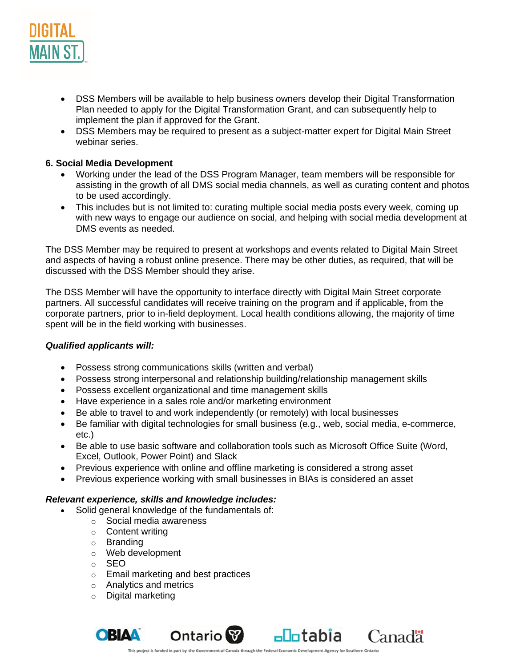

- DSS Members will be available to help business owners develop their Digital Transformation Plan needed to apply for the Digital Transformation Grant, and can subsequently help to implement the plan if approved for the Grant.
- DSS Members may be required to present as a subject-matter expert for Digital Main Street webinar series.

## **6. Social Media Development**

- Working under the lead of the DSS Program Manager, team members will be responsible for assisting in the growth of all DMS social media channels, as well as curating content and photos to be used accordingly.
- This includes but is not limited to: curating multiple social media posts every week, coming up with new ways to engage our audience on social, and helping with social media development at DMS events as needed.

The DSS Member may be required to present at workshops and events related to Digital Main Street and aspects of having a robust online presence. There may be other duties, as required, that will be discussed with the DSS Member should they arise.

The DSS Member will have the opportunity to interface directly with Digital Main Street corporate partners. All successful candidates will receive training on the program and if applicable, from the corporate partners, prior to in-field deployment. Local health conditions allowing, the majority of time spent will be in the field working with businesses.

## *Qualified applicants will:*

- Possess strong communications skills (written and verbal)
- Possess strong interpersonal and relationship building/relationship management skills
- Possess excellent organizational and time management skills
- Have experience in a sales role and/or marketing environment
- Be able to travel to and work independently (or remotely) with local businesses
- Be familiar with digital technologies for small business (e.g., web, social media, e-commerce, etc.)
- Be able to use basic software and collaboration tools such as Microsoft Office Suite (Word, Excel, Outlook, Power Point) and Slack
- Previous experience with online and offline marketing is considered a strong asset
- Previous experience working with small businesses in BIAs is considered an asset

## *Relevant experience, skills and knowledge includes:*

- Solid general knowledge of the fundamentals of:
	- o Social media awareness
	- o Content writing
	- o Branding
	- o Web development
	- o SEO
	- o Email marketing and best practices
	- o Analytics and metrics
	- o Digital marketing



Canadä